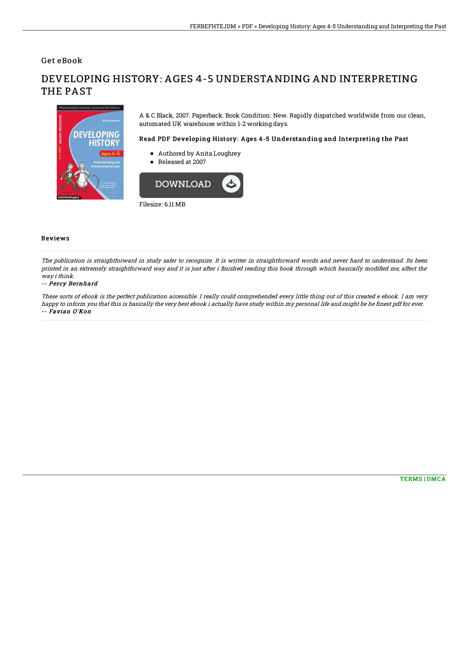Get eBook

# DEVELOPING HISTORY: AGES 4-5 UNDERSTANDING AND INTERPRETING THE PAST



A & C Black, 2007. Paperback. Book Condition: New. Rapidly dispatched worldwide from our clean, automated UK warehouse within 1-2 working days.

### Read PDF Developing History: Ages 4-5 Understanding and Interpreting the Past

- Authored by Anita Loughrey
- Released at 2007



Filesize: 6.11 MB

#### Reviews

The publication is straightforward in study safer to recognize. It is writter in straightforward words and never hard to understand. Its been printed in an extremely straightforward way and it is just after i finished reading this book through which basically modified me, affect the way i think.

#### -- Percy Bernhard

These sorts of ebook is the perfect publication accessible. I really could comprehended every little thing out of this created <sup>e</sup> ebook. I am very happy to inform you that this is basically the very best ebook i actually have study within my personal life and might be he finest pdf for ever. -- Favian O'Kon